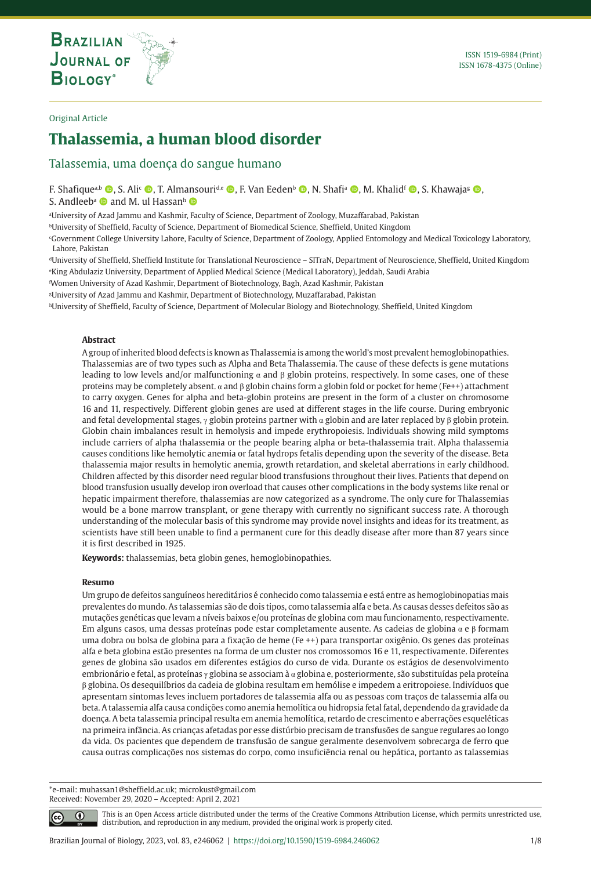## Original Article

# **Thalassemia, a human blood disorder**

# Talassemia, uma doença do sangue humano

**THE INTERNATIONAL JOURNAL ON GLOBAL BIODIVERSITY AND ENVIRONMENT**

F. Shafiquea,b **O**, S. Ali<sup>c</sup> **O**, T. Almansouri<sup>d,e</sup> **O**, F. Van Eeden<sup>b</sup> **O**, N. Shafi<sup>a</sup> **O**, M. Khalidf **O**, S. Khawaja<sup>g</sup> **O**, S. Andleeb<sup>a</sup>  $\bullet$  and M. ul Hassanh  $\bullet$ 

a University of Azad Jammu and Kashmir, Faculty of Science, Department of Zoology, Muzaffarabad, Pakistan

bUniversity of Sheffield, Faculty of Science, Department of Biomedical Science, Sheffield, United Kingdom

c Government College University Lahore, Faculty of Science, Department of Zoology, Applied Entomology and Medical Toxicology Laboratory, Lahore, Pakistan

dUniversity of Sheffield, Sheffield Institute for Translational Neuroscience – SITraN, Department of Neuroscience, Sheffield, United Kingdom e King Abdulaziz University, Department of Applied Medical Science (Medical Laboratory), Jeddah, Saudi Arabia

f Women University of Azad Kashmir, Department of Biotechnology, Bagh, Azad Kashmir, Pakistan

g University of Azad Jammu and Kashmir, Department of Biotechnology, Muzaffarabad, Pakistan

<sup>h</sup>University of Sheffield, Faculty of Science, Department of Molecular Biology and Biotechnology, Sheffield, United Kingdom

## **Abstract**

A group of inherited blood defects is known as Thalassemia is among the world's most prevalent hemoglobinopathies. Thalassemias are of two types such as Alpha and Beta Thalassemia. The cause of these defects is gene mutations leading to low levels and/or malfunctioning  $α$  and  $β$  globin proteins, respectively. In some cases, one of these proteins may be completely absent. α and β globin chains form a globin fold or pocket for heme (Fe++) attachment to carry oxygen. Genes for alpha and beta-globin proteins are present in the form of a cluster on chromosome 16 and 11, respectively. Different globin genes are used at different stages in the life course. During embryonic and fetal developmental stages,  $\gamma$  globin proteins partner with  $\alpha$  globin and are later replaced by β globin protein. Globin chain imbalances result in hemolysis and impede erythropoiesis. Individuals showing mild symptoms include carriers of alpha thalassemia or the people bearing alpha or beta-thalassemia trait. Alpha thalassemia causes conditions like hemolytic anemia or fatal hydrops fetalis depending upon the severity of the disease. Beta thalassemia major results in hemolytic anemia, growth retardation, and skeletal aberrations in early childhood. Children affected by this disorder need regular blood transfusions throughout their lives. Patients that depend on blood transfusion usually develop iron overload that causes other complications in the body systems like renal or hepatic impairment therefore, thalassemias are now categorized as a syndrome. The only cure for Thalassemias would be a bone marrow transplant, or gene therapy with currently no significant success rate. A thorough understanding of the molecular basis of this syndrome may provide novel insights and ideas for its treatment, as scientists have still been unable to find a permanent cure for this deadly disease after more than 87 years since it is first described in 1925.

**Keywords:** thalassemias, beta globin genes, hemoglobinopathies.

#### **Resumo**

Um grupo de defeitos sanguíneos hereditários é conhecido como talassemia e está entre as hemoglobinopatias mais prevalentes do mundo. As talassemias são de dois tipos, como talassemia alfa e beta. As causas desses defeitos são as mutações genéticas que levam a níveis baixos e/ou proteínas de globina com mau funcionamento, respectivamente. Em alguns casos, uma dessas proteínas pode estar completamente ausente. As cadeias de globina α e β formam uma dobra ou bolsa de globina para a fixação de heme (Fe ++) para transportar oxigênio. Os genes das proteínas alfa e beta globina estão presentes na forma de um cluster nos cromossomos 16 e 11, respectivamente. Diferentes genes de globina são usados em diferentes estágios do curso de vida. Durante os estágios de desenvolvimento embrionário e fetal, as proteínas  $\gamma$  globina se associam à  $\alpha$  globina e, posteriormente, são substituídas pela proteína β globina. Os desequilíbrios da cadeia de globina resultam em hemólise e impedem a eritropoiese. Indivíduos que apresentam sintomas leves incluem portadores de talassemia alfa ou as pessoas com traços de talassemia alfa ou beta. A talassemia alfa causa condições como anemia hemolítica ou hidropsia fetal fatal, dependendo da gravidade da doença. A beta talassemia principal resulta em anemia hemolítica, retardo de crescimento e aberrações esqueléticas na primeira infância. As crianças afetadas por esse distúrbio precisam de transfusões de sangue regulares ao longo da vida. Os pacientes que dependem de transfusão de sangue geralmente desenvolvem sobrecarga de ferro que causa outras complicações nos sistemas do corpo, como insuficiência renal ou hepática, portanto as talassemias

\*e-mail: muhassan1@sheffield.ac.uk; microkust@gmail.com Received: November 29, 2020 – Accepted: April 2, 2021

⋒

This is an Open Access article distributed under the terms of the Creative Commons Attribution License, which permits unrestricted use, distribution, and reproduction in any medium, provided the original work is properly cited.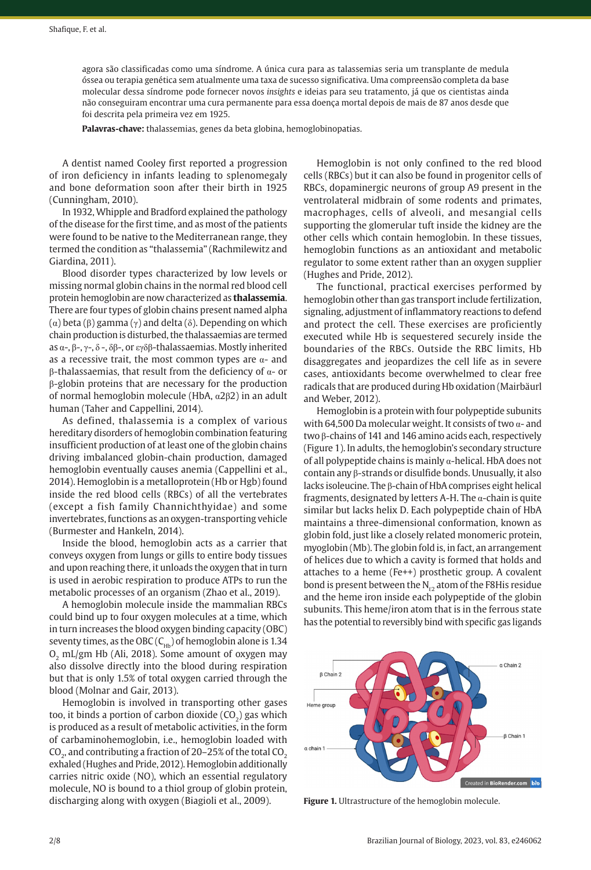agora são classificadas como uma síndrome. A única cura para as talassemias seria um transplante de medula óssea ou terapia genética sem atualmente uma taxa de sucesso significativa. Uma compreensão completa da base molecular dessa síndrome pode fornecer novos *insights* e ideias para seu tratamento, já que os cientistas ainda não conseguiram encontrar uma cura permanente para essa doença mortal depois de mais de 87 anos desde que foi descrita pela primeira vez em 1925.

**Palavras-chave:** thalassemias, genes da beta globina, hemoglobinopatias.

A dentist named Cooley first reported a progression of iron deficiency in infants leading to splenomegaly and bone deformation soon after their birth in 1925 (Cunningham, 2010).

In 1932, Whipple and Bradford explained the pathology of the disease for the first time, and as most of the patients were found to be native to the Mediterranean range, they termed the condition as "thalassemia" (Rachmilewitz and Giardina, 2011).

Blood disorder types characterized by low levels or missing normal globin chains in the normal red blood cell protein hemoglobin are now characterized as **thalassemia**. There are four types of globin chains present named alpha ( $α$ ) beta ( $β$ ) gamma ( $γ$ ) and delta ( $δ$ ). Depending on which chain production is disturbed, the thalassaemias are termed as  $\alpha$ -,  $\beta$ -,  $\gamma$ -,  $\delta$ -,  $\delta\beta$ -, or εγδβ-thalassaemias. Mostly inherited as a recessive trait, the most common types are  $\alpha$ - and β-thalassaemias, that result from the deficiency of α- or β-globin proteins that are necessary for the production of normal hemoglobin molecule (HbA, α2β2) in an adult human (Taher and Cappellini, 2014).

As defined, thalassemia is a complex of various hereditary disorders of hemoglobin combination featuring insufficient production of at least one of the globin chains driving imbalanced globin-chain production, damaged hemoglobin eventually causes anemia (Cappellini et al., 2014). Hemoglobin is a metalloprotein (Hb or Hgb) found inside the red blood cells (RBCs) of all the vertebrates (except a fish family Channichthyidae) and some invertebrates, functions as an oxygen-transporting vehicle (Burmester and Hankeln, 2014).

Inside the blood, hemoglobin acts as a carrier that conveys oxygen from lungs or gills to entire body tissues and upon reaching there, it unloads the oxygen that in turn is used in aerobic respiration to produce ATPs to run the metabolic processes of an organism (Zhao et al., 2019).

A hemoglobin molecule inside the mammalian RBCs could bind up to four oxygen molecules at a time, which in turn increases the blood oxygen binding capacity (OBC) seventy times, as the OBC  $(C_{Hb})$  of hemoglobin alone is 1.34  $O<sub>2</sub>$  mL/gm Hb (Ali, 2018). Some amount of oxygen may also dissolve directly into the blood during respiration but that is only 1.5% of total oxygen carried through the blood (Molnar and Gair, 2013).

Hemoglobin is involved in transporting other gases too, it binds a portion of carbon dioxide  $(CO<sub>2</sub>)$  gas which is produced as a result of metabolic activities, in the form of carbaminohemoglobin, i.e., hemoglobin loaded with CO<sub>2</sub>, and contributing a fraction of 20-25% of the total CO<sub>2</sub> exhaled (Hughes and Pride, 2012). Hemoglobin additionally carries nitric oxide (NO), which an essential regulatory molecule, NO is bound to a thiol group of globin protein, discharging along with oxygen (Biagioli et al., 2009).

Hemoglobin is not only confined to the red blood cells (RBCs) but it can also be found in progenitor cells of RBCs, dopaminergic neurons of group A9 present in the ventrolateral midbrain of some rodents and primates, macrophages, cells of alveoli, and mesangial cells supporting the glomerular tuft inside the kidney are the other cells which contain hemoglobin. In these tissues, hemoglobin functions as an antioxidant and metabolic regulator to some extent rather than an oxygen supplier (Hughes and Pride, 2012).

The functional, practical exercises performed by hemoglobin other than gas transport include fertilization, signaling, adjustment of inflammatory reactions to defend and protect the cell. These exercises are proficiently executed while Hb is sequestered securely inside the boundaries of the RBCs. Outside the RBC limits, Hb disaggregates and jeopardizes the cell life as in severe cases, antioxidants become overwhelmed to clear free radicals that are produced during Hb oxidation (Mairbäurl and Weber, 2012).

Hemoglobin is a protein with four polypeptide subunits with 64,500 Da molecular weight. It consists of two  $\alpha$ - and two β-chains of 141 and 146 amino acids each, respectively (Figure 1). In adults, the hemoglobin's secondary structure of all polypeptide chains is mainly  $\alpha$ -helical. HbA does not contain any β-strands or disulfide bonds. Unusually, it also lacks isoleucine. The β-chain of HbA comprises eight helical fragments, designated by letters A-H. The  $\alpha$ -chain is quite similar but lacks helix D. Each polypeptide chain of HbA maintains a three-dimensional conformation, known as globin fold, just like a closely related monomeric protein, myoglobin (Mb). The globin fold is, in fact, an arrangement of helices due to which a cavity is formed that holds and attaches to a heme (Fe++) prosthetic group. A covalent bond is present between the  $N_{\epsilon_2}$  atom of the F8His residue and the heme iron inside each polypeptide of the globin subunits. This heme/iron atom that is in the ferrous state has the potential to reversibly bind with specific gas ligands



**Figure 1.** Ultrastructure of the hemoglobin molecule.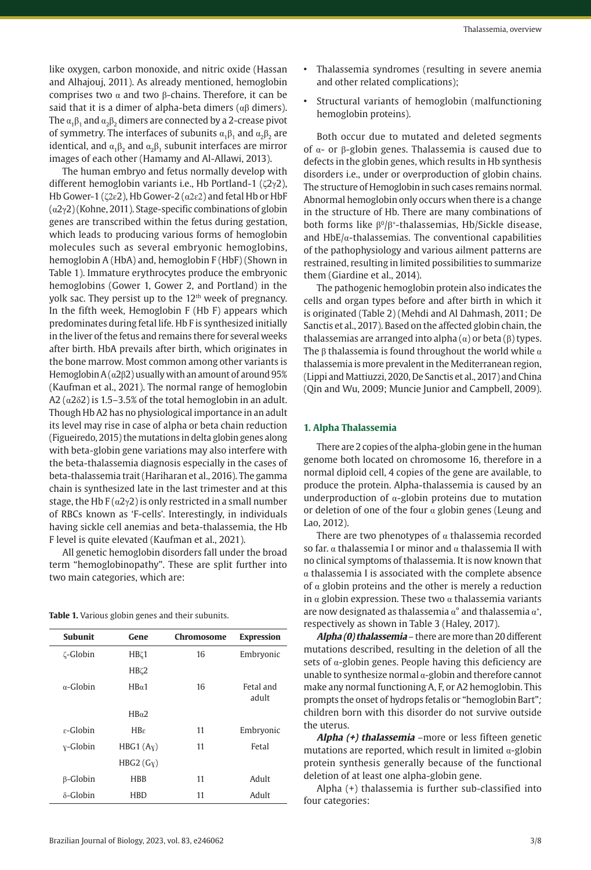like oxygen, carbon monoxide, and nitric oxide (Hassan and Alhajouj, 2011). As already mentioned, hemoglobin comprises two α and two β-chains. Therefore, it can be said that it is a dimer of alpha-beta dimers ( $\alpha\beta$  dimers). The  $\alpha_1\beta_1$  and  $\alpha_2\beta_2$  dimers are connected by a 2-crease pivot of symmetry. The interfaces of subunits  $\alpha_1\beta_1$  and  $\alpha_2\beta_2$  are identical, and  $\alpha_1\beta_2$  and  $\alpha_2\beta_1$  subunit interfaces are mirror images of each other (Hamamy and Al-Allawi, 2013).

The human embryo and fetus normally develop with different hemoglobin variants i.e., Hb Portland-1 (ζ2γ2), Hb Gower-1 (ζ2ε2), Hb Gower-2 (α2ε2) and fetal Hb or HbF (α2γ2) (Kohne, 2011). Stage-specific combinations of globin genes are transcribed within the fetus during gestation, which leads to producing various forms of hemoglobin molecules such as several embryonic hemoglobins, hemoglobin A (HbA) and, hemoglobin F (HbF) (Shown in Table 1). Immature erythrocytes produce the embryonic hemoglobins (Gower 1, Gower 2, and Portland) in the yolk sac. They persist up to the  $12<sup>th</sup>$  week of pregnancy. In the fifth week, Hemoglobin F (Hb F) appears which predominates during fetal life. Hb F is synthesized initially in the liver of the fetus and remains there for several weeks after birth. HbA prevails after birth, which originates in the bone marrow. Most common among other variants is Hemoglobin A  $(\alpha 2\beta 2)$  usually with an amount of around 95% (Kaufman et al., 2021). The normal range of hemoglobin A2 ( $\alpha$ 2 $\delta$ 2) is 1.5–3.5% of the total hemoglobin in an adult. Though Hb A2 has no physiological importance in an adult its level may rise in case of alpha or beta chain reduction (Figueiredo, 2015) the mutations in delta globin genes along with beta-globin gene variations may also interfere with the beta-thalassemia diagnosis especially in the cases of beta-thalassemia trait (Hariharan et al., 2016). The gamma chain is synthesized late in the last trimester and at this stage, the Hb  $F(\alpha 2\nu 2)$  is only restricted in a small number of RBCs known as 'F-cells'. Interestingly, in individuals having sickle cell anemias and beta-thalassemia, the Hb F level is quite elevated (Kaufman et al., 2021).

All genetic hemoglobin disorders fall under the broad term "hemoglobinopathy". These are split further into two main categories, which are:

| Table 1. Various globin genes and their subunits. |  |  |  |  |
|---------------------------------------------------|--|--|--|--|
|---------------------------------------------------|--|--|--|--|

| <b>Subunit</b>        | Gene                  | Chromosome | <b>Expression</b>  |
|-----------------------|-----------------------|------------|--------------------|
| ζ-Globin              | HB <sub>C1</sub>      | 16         | Embryonic          |
|                       | HB <sub>K2</sub>      |            |                    |
| $\alpha$ -Globin      | HR <sub>α1</sub>      | 16         | Fetal and<br>adult |
|                       | HR <sub>0</sub> 2     |            |                    |
| $\varepsilon$ -Globin | $H B \varepsilon$     | 11         | Embryonic          |
| y-Globin              | HBG1 (Ay)             | 11         | Fetal              |
|                       | HBG2(G <sub>X</sub> ) |            |                    |
| $\beta$ -Globin       | <b>HBB</b>            | 11         | Adult              |
| $\delta$ -Globin      | <b>HRD</b>            | 11         | Adult              |

- Thalassemia syndromes (resulting in severe anemia and other related complications);
- Structural variants of hemoglobin (malfunctioning hemoglobin proteins).

Both occur due to mutated and deleted segments of α- or β-globin genes. Thalassemia is caused due to defects in the globin genes, which results in Hb synthesis disorders i.e., under or overproduction of globin chains. The structure of Hemoglobin in such cases remains normal. Abnormal hemoglobin only occurs when there is a change in the structure of Hb. There are many combinations of both forms like  $\beta^0/\beta^*$ -thalassemias, Hb/Sickle disease, and  $HbE/\alpha$ -thalassemias. The conventional capabilities of the pathophysiology and various ailment patterns are restrained, resulting in limited possibilities to summarize them (Giardine et al., 2014).

The pathogenic hemoglobin protein also indicates the cells and organ types before and after birth in which it is originated (Table 2) (Mehdi and Al Dahmash, 2011; De Sanctis et al., 2017). Based on the affected globin chain, the thalassemias are arranged into alpha  $(\alpha)$  or beta  $(\beta)$  types. The  $\beta$  thalassemia is found throughout the world while  $\alpha$ thalassemia is more prevalent in the Mediterranean region, (Lippi and Mattiuzzi, 2020, De Sanctis et al., 2017) and China (Qin and Wu, 2009; Muncie Junior and Campbell, 2009).

### **1. Alpha Thalassemia**

There are 2 copies of the alpha-globin gene in the human genome both located on chromosome 16, therefore in a normal diploid cell, 4 copies of the gene are available, to produce the protein. Alpha-thalassemia is caused by an underproduction of  $\alpha$ -globin proteins due to mutation or deletion of one of the four  $\alpha$  globin genes (Leung and Lao, 2012).

There are two phenotypes of  $\alpha$  thalassemia recorded so far.  $\alpha$  thalassemia I or minor and  $\alpha$  thalassemia II with no clinical symptoms of thalassemia. It is now known that  $\alpha$  thalassemia I is associated with the complete absence of  $\alpha$  globin proteins and the other is merely a reduction in  $\alpha$  globin expression. These two  $\alpha$  thalassemia variants are now designated as thalassemia  $\alpha^{\circ}$  and thalassemia  $\alpha^{\ast}$ , respectively as shown in Table 3 (Haley, 2017).

**Alpha (0) thalassemia** – there are more than 20 different mutations described, resulting in the deletion of all the sets of α-globin genes. People having this deficiency are unable to synthesize normal α-globin and therefore cannot make any normal functioning A, F, or A2 hemoglobin. This prompts the onset of hydrops fetalis or "hemoglobin Bart"*;* children born with this disorder do not survive outside the uterus.

**Alpha (+) thalassemia** –more or less fifteen genetic mutations are reported, which result in limited  $\alpha$ -globin protein synthesis generally because of the functional deletion of at least one alpha-globin gene.

Alpha (+) thalassemia is further sub-classified into four categories: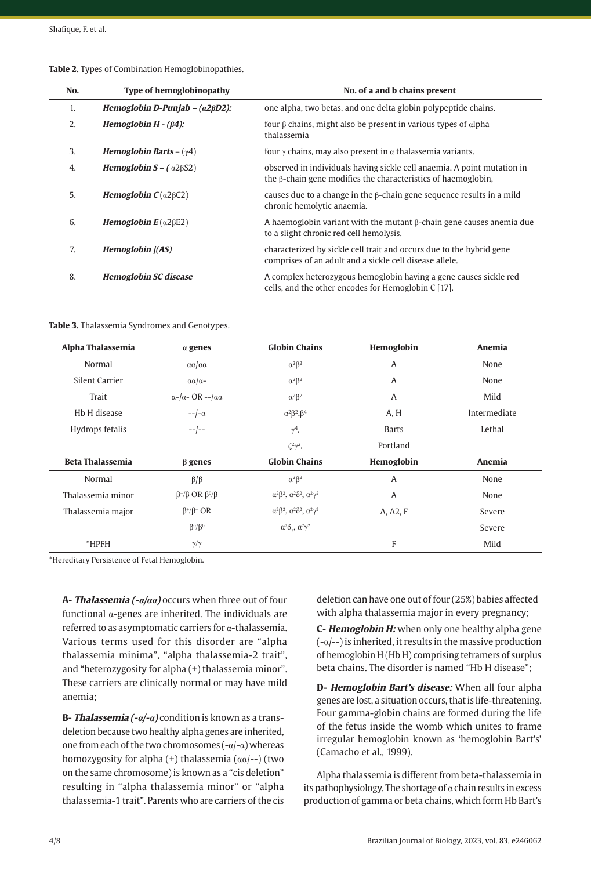| No. | <b>Type of hemoglobinopathy</b>                   | No. of a and b chains present                                                                                                            |
|-----|---------------------------------------------------|------------------------------------------------------------------------------------------------------------------------------------------|
| 1.  | Hemoglobin D-Punjab $-$ ( $\alpha$ 2 $\beta$ D2): | one alpha, two betas, and one delta globin polypeptide chains.                                                                           |
| 2.  | Hemoglobin $H - (\beta 4)$ :                      | four $\beta$ chains, might also be present in various types of $\alpha$ lpha<br>thalassemia                                              |
| 3.  | <b>Hemoglobin Barts</b> – $(\gamma 4)$            | four $\gamma$ chains, may also present in $\alpha$ thalassemia variants.                                                                 |
| 4.  | <b>Hemoglobin S</b> – $(\alpha 2\beta 52)$        | observed in individuals having sickle cell anaemia. A point mutation in<br>the β-chain gene modifies the characteristics of haemoglobin, |
| 5.  | <b>Hemoglobin C</b> $(\alpha2\beta C2)$           | causes due to a change in the $\beta$ -chain gene sequence results in a mild<br>chronic hemolytic anaemia.                               |
| 6.  | <b>Hemoglobin E</b> ( $\alpha$ 2 $\beta$ E2)      | A haemoglobin variant with the mutant $\beta$ -chain gene causes anemia due<br>to a slight chronic red cell hemolysis.                   |
| 7.  | Hemoglobin ((AS)                                  | characterized by sickle cell trait and occurs due to the hybrid gene<br>comprises of an adult and a sickle cell disease allele.          |
| 8.  | <b>Hemoglobin SC disease</b>                      | A complex heterozygous hemoglobin having a gene causes sickle red<br>cells, and the other encodes for Hemoglobin C [17].                 |

|  | Table 2. Types of Combination Hemoglobinopathies. |
|--|---------------------------------------------------|
|  |                                                   |

**Table 3.** Thalassemia Syndromes and Genotypes.

| Alpha Thalassemia       | $\alpha$ genes                               | <b>Globin Chains</b>                                        | Hemoglobin   | Anemia       |
|-------------------------|----------------------------------------------|-------------------------------------------------------------|--------------|--------------|
| Normal                  | $\alpha\alpha/\alpha\alpha$                  | $\alpha^2\beta^2$                                           | A            | None         |
| Silent Carrier          | $\alpha\alpha/\alpha-$                       | $\alpha^2\beta^2$                                           | A            | None         |
| Trait                   | $\alpha$ -/ $\alpha$ - OR --/ $\alpha\alpha$ | $\alpha^2\beta^2$                                           | A            | Mild         |
| Hb H disease            | $-\frac{1}{\alpha}$                          | $\alpha^2\beta^2.\beta^4$                                   | A, H         | Intermediate |
| Hydrops fetalis         | $  -$                                        | $\gamma^4$ ,                                                | <b>Barts</b> | Lethal       |
|                         |                                              | $\zeta^2\gamma^2$ ,                                         | Portland     |              |
| <b>Beta Thalassemia</b> | $\beta$ genes                                | <b>Globin Chains</b>                                        | Hemoglobin   | Anemia       |
| Normal                  | $\beta/\beta$                                | $\alpha^2\beta^2$                                           | A            | None         |
| Thalassemia minor       | $\beta^{+}/\beta$ OR $\beta^{0}/\beta$       | $\alpha^2\beta^2$ , $\alpha^2\delta^2$ , $\alpha^2\gamma^2$ | A            | None         |
| Thalassemia major       | $\beta^{+}/\beta^{+}$ OR                     | $\alpha^2\beta^2$ , $\alpha^2\delta^2$ , $\alpha^2\gamma^2$ | A, A2, F     | Severe       |
|                         | $\beta^0/\beta^0$                            | $\alpha^2\delta_{\gamma}$ , $\alpha^2\gamma^2$              |              | Severe       |
| *HPFH                   | $\gamma/\gamma$                              |                                                             | F            | Mild         |

\*Hereditary Persistence of Fetal Hemoglobin.

**A- Thalassemia (-α/αα)** occurs when three out of four functional α-genes are inherited. The individuals are referred to as asymptomatic carriers for α-thalassemia. Various terms used for this disorder are "alpha thalassemia minima", "alpha thalassemia-2 trait", and "heterozygosity for alpha (+) thalassemia minor". These carriers are clinically normal or may have mild anemia;

**B- Thalassemia (-α/-α)** condition is known as a transdeletion because two healthy alpha genes are inherited, one from each of the two chromosomes  $(-\alpha)$  whereas homozygosity for alpha (+) thalassemia  $(\alpha\alpha/-)$  (two on the same chromosome) is known as a "cis deletion" resulting in "alpha thalassemia minor" or "alpha thalassemia-1 trait". Parents who are carriers of the cis

deletion can have one out of four (25%) babies affected with alpha thalassemia major in every pregnancy;

**C- Hemoglobin H:** when only one healthy alpha gene  $(-\alpha/4)$  is inherited, it results in the massive production of hemoglobin H (Hb H) comprising tetramers of surplus beta chains. The disorder is named "Hb H disease";

**D- Hemoglobin Bart's disease:** When all four alpha genes are lost, a situation occurs, that is life-threatening. Four gamma-globin chains are formed during the life of the fetus inside the womb which unites to frame irregular hemoglobin known as 'hemoglobin Bart's' (Camacho et al., 1999).

Alpha thalassemia is different from beta-thalassemia in its pathophysiology. The shortage of  $\alpha$  chain results in excess production of gamma or beta chains, which form Hb Bart's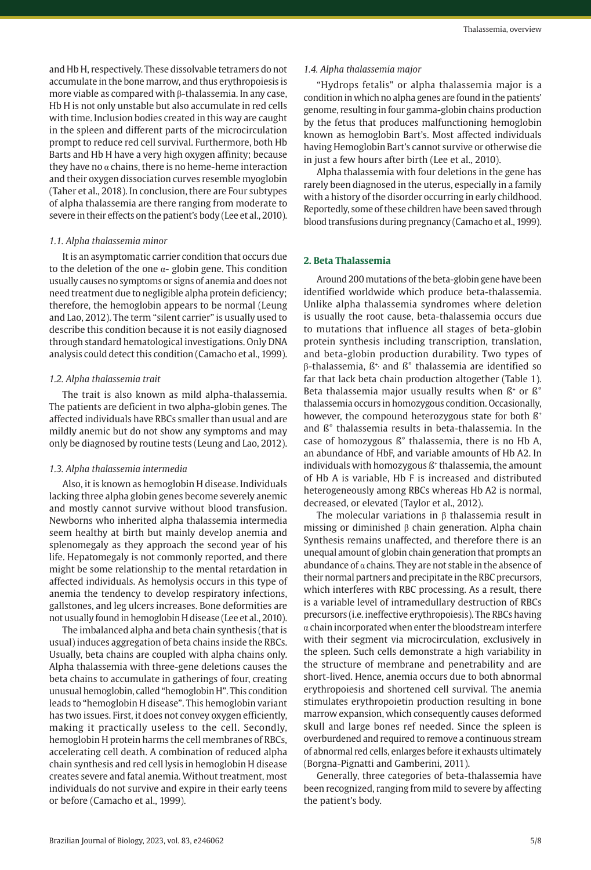and Hb H, respectively. These dissolvable tetramers do not accumulate in the bone marrow, and thus erythropoiesis is more viable as compared with β-thalassemia. In any case, Hb H is not only unstable but also accumulate in red cells with time. Inclusion bodies created in this way are caught in the spleen and different parts of the microcirculation prompt to reduce red cell survival. Furthermore, both Hb Barts and Hb H have a very high oxygen affinity; because they have no  $\alpha$  chains, there is no heme-heme interaction and their oxygen dissociation curves resemble myoglobin (Taher et al., 2018). In conclusion, there are Four subtypes of alpha thalassemia are there ranging from moderate to severe in their effects on the patient's body (Lee et al., 2010).

## *1.1. Alpha thalassemia minor*

It is an asymptomatic carrier condition that occurs due to the deletion of the one  $α$ - globin gene. This condition usually causes no symptoms or signs of anemia and does not need treatment due to negligible alpha protein deficiency; therefore, the hemoglobin appears to be normal (Leung and Lao, 2012). The term "silent carrier" is usually used to describe this condition because it is not easily diagnosed through standard hematological investigations. Only DNA analysis could detect this condition (Camacho et al., 1999).

## *1.2. Alpha thalassemia trait*

The trait is also known as mild alpha-thalassemia. The patients are deficient in two alpha-globin genes. The affected individuals have RBCs smaller than usual and are mildly anemic but do not show any symptoms and may only be diagnosed by routine tests (Leung and Lao, 2012).

## *1.3. Alpha thalassemia intermedia*

Also, it is known as hemoglobin H disease. Individuals lacking three alpha globin genes become severely anemic and mostly cannot survive without blood transfusion. Newborns who inherited alpha thalassemia intermedia seem healthy at birth but mainly develop anemia and splenomegaly as they approach the second year of his life. Hepatomegaly is not commonly reported, and there might be some relationship to the mental retardation in affected individuals. As hemolysis occurs in this type of anemia the tendency to develop respiratory infections, gallstones, and leg ulcers increases. Bone deformities are not usually found in hemoglobin H disease (Lee et al., 2010).

The imbalanced alpha and beta chain synthesis (that is usual) induces aggregation of beta chains inside the RBCs. Usually, beta chains are coupled with alpha chains only. Alpha thalassemia with three-gene deletions causes the beta chains to accumulate in gatherings of four, creating unusual hemoglobin, called "hemoglobin H". This condition leads to "hemoglobin H disease". This hemoglobin variant has two issues. First, it does not convey oxygen efficiently, making it practically useless to the cell. Secondly, hemoglobin H protein harms the cell membranes of RBCs, accelerating cell death. A combination of reduced alpha chain synthesis and red cell lysis in hemoglobin H disease creates severe and fatal anemia. Without treatment, most individuals do not survive and expire in their early teens or before (Camacho et al., 1999).

# *1.4. Alpha thalassemia major*

"Hydrops fetalis" or alpha thalassemia major is a condition in which no alpha genes are found in the patients' genome, resulting in four gamma-globin chains production by the fetus that produces malfunctioning hemoglobin known as hemoglobin Bart's. Most affected individuals having Hemoglobin Bart's cannot survive or otherwise die in just a few hours after birth (Lee et al., 2010).

Alpha thalassemia with four deletions in the gene has rarely been diagnosed in the uterus, especially in a family with a history of the disorder occurring in early childhood. Reportedly, some of these children have been saved through blood transfusions during pregnancy (Camacho et al., 1999).

## **2. Beta Thalassemia**

Around 200 mutations of the beta-globin gene have been identified worldwide which produce beta-thalassemia. Unlike alpha thalassemia syndromes where deletion is usually the root cause, beta-thalassemia occurs due to mutations that influence all stages of beta-globin protein synthesis including transcription, translation, and beta-globin production durability. Two types of β-thalassemia, ß+, and ß° thalassemia are identified so far that lack beta chain production altogether (Table 1). Beta thalassemia major usually results when  $B^*$  or  $B^{\circ}$ thalassemia occurs in homozygous condition. Occasionally, however, the compound heterozygous state for both  $\mathbb{S}^*$ and ß° thalassemia results in beta-thalassemia. In the case of homozygous ß° thalassemia, there is no Hb A, an abundance of HbF, and variable amounts of Hb A2. In individuals with homozygous ß+ thalassemia, the amount of Hb A is variable, Hb F is increased and distributed heterogeneously among RBCs whereas Hb A2 is normal, decreased, or elevated (Taylor et al., 2012).

The molecular variations in  $\beta$  thalassemia result in missing or diminished β chain generation. Alpha chain Synthesis remains unaffected, and therefore there is an unequal amount of globin chain generation that prompts an abundance of  $\alpha$  chains. They are not stable in the absence of their normal partners and precipitate in the RBC precursors, which interferes with RBC processing. As a result, there is a variable level of intramedullary destruction of RBCs precursors (i.e. ineffective erythropoiesis). The RBCs having α chain incorporated when enter the bloodstream interfere with their segment via microcirculation, exclusively in the spleen. Such cells demonstrate a high variability in the structure of membrane and penetrability and are short-lived. Hence, anemia occurs due to both abnormal erythropoiesis and shortened cell survival. The anemia stimulates erythropoietin production resulting in bone marrow expansion, which consequently causes deformed skull and large bones ref needed. Since the spleen is overburdened and required to remove a continuous stream of abnormal red cells, enlarges before it exhausts ultimately (Borgna-Pignatti and Gamberini, 2011).

Generally, three categories of beta-thalassemia have been recognized, ranging from mild to severe by affecting the patient's body.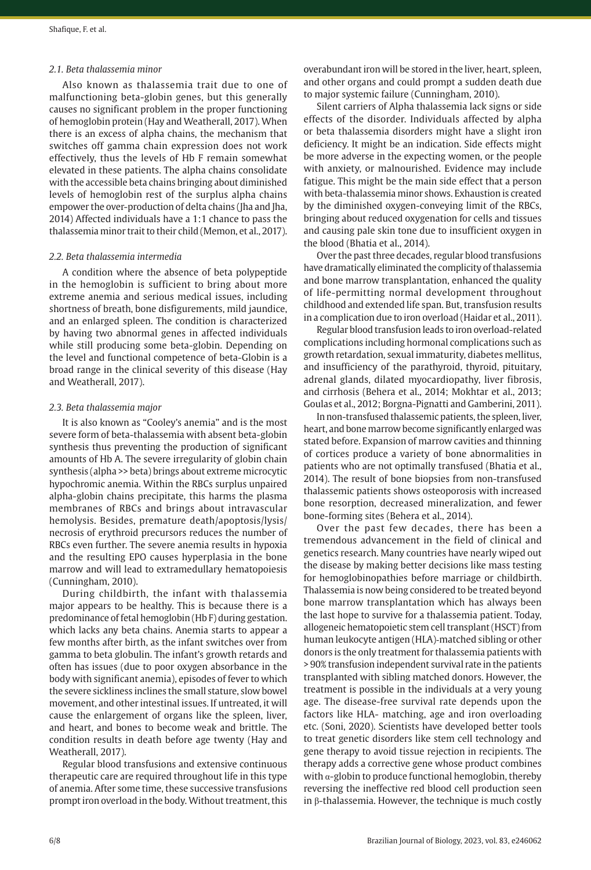## *2.1. Beta thalassemia minor*

Also known as thalassemia trait due to one of malfunctioning beta-globin genes, but this generally causes no significant problem in the proper functioning of hemoglobin protein (Hay and Weatherall, 2017). When there is an excess of alpha chains, the mechanism that switches off gamma chain expression does not work effectively, thus the levels of Hb F remain somewhat elevated in these patients. The alpha chains consolidate with the accessible beta chains bringing about diminished levels of hemoglobin rest of the surplus alpha chains empower the over-production of delta chains (Jha and Jha, 2014) Affected individuals have a 1:1 chance to pass the thalassemia minor trait to their child (Memon, et al., 2017).

### *2.2. Beta thalassemia intermedia*

A condition where the absence of beta polypeptide in the hemoglobin is sufficient to bring about more extreme anemia and serious medical issues, including shortness of breath, bone disfigurements, mild jaundice, and an enlarged spleen. The condition is characterized by having two abnormal genes in affected individuals while still producing some beta-globin. Depending on the level and functional competence of beta-Globin is a broad range in the clinical severity of this disease (Hay and Weatherall, 2017).

#### *2.3. Beta thalassemia major*

It is also known as "Cooley's anemia" and is the most severe form of beta-thalassemia with absent beta-globin synthesis thus preventing the production of significant amounts of Hb A. The severe irregularity of globin chain synthesis (alpha >> beta) brings about extreme microcytic hypochromic anemia. Within the RBCs surplus unpaired alpha-globin chains precipitate, this harms the plasma membranes of RBCs and brings about intravascular hemolysis. Besides, premature death/apoptosis/lysis/ necrosis of erythroid precursors reduces the number of RBCs even further. The severe anemia results in hypoxia and the resulting EPO causes hyperplasia in the bone marrow and will lead to extramedullary hematopoiesis (Cunningham, 2010).

During childbirth, the infant with thalassemia major appears to be healthy. This is because there is a predominance of fetal hemoglobin (Hb F) during gestation. which lacks any beta chains. Anemia starts to appear a few months after birth, as the infant switches over from gamma to beta globulin. The infant's growth retards and often has issues (due to poor oxygen absorbance in the body with significant anemia), episodes of fever to which the severe sickliness inclines the small stature, slow bowel movement, and other intestinal issues. If untreated, it will cause the enlargement of organs like the spleen, liver, and heart, and bones to become weak and brittle. The condition results in death before age twenty (Hay and Weatherall, 2017).

Regular blood transfusions and extensive continuous therapeutic care are required throughout life in this type of anemia. After some time, these successive transfusions prompt iron overload in the body. Without treatment, this overabundant iron will be stored in the liver, heart, spleen, and other organs and could prompt a sudden death due to major systemic failure (Cunningham, 2010).

Silent carriers of Alpha thalassemia lack signs or side effects of the disorder. Individuals affected by alpha or beta thalassemia disorders might have a slight iron deficiency. It might be an indication. Side effects might be more adverse in the expecting women, or the people with anxiety, or malnourished. Evidence may include fatigue. This might be the main side effect that a person with beta-thalassemia minor shows. Exhaustion is created by the diminished oxygen-conveying limit of the RBCs, bringing about reduced oxygenation for cells and tissues and causing pale skin tone due to insufficient oxygen in the blood (Bhatia et al., 2014).

Over the past three decades, regular blood transfusions have dramatically eliminated the complicity of thalassemia and bone marrow transplantation, enhanced the quality of life-permitting normal development throughout childhood and extended life span. But, transfusion results in a complication due to iron overload (Haidar et al., 2011).

Regular blood transfusion leads to iron overload-related complications including hormonal complications such as growth retardation, sexual immaturity, diabetes mellitus, and insufficiency of the parathyroid, thyroid, pituitary, adrenal glands, dilated myocardiopathy, liver fibrosis, and cirrhosis (Behera et al., 2014; Mokhtar et al., 2013; Goulas et al., 2012; Borgna-Pignatti and Gamberini, 2011).

In non-transfused thalassemic patients, the spleen, liver, heart, and bone marrow become significantly enlarged was stated before. Expansion of marrow cavities and thinning of cortices produce a variety of bone abnormalities in patients who are not optimally transfused (Bhatia et al., 2014). The result of bone biopsies from non-transfused thalassemic patients shows osteoporosis with increased bone resorption, decreased mineralization, and fewer bone-forming sites (Behera et al., 2014).

Over the past few decades, there has been a tremendous advancement in the field of clinical and genetics research. Many countries have nearly wiped out the disease by making better decisions like mass testing for hemoglobinopathies before marriage or childbirth. Thalassemia is now being considered to be treated beyond bone marrow transplantation which has always been the last hope to survive for a thalassemia patient. Today, allogeneic hematopoietic stem cell transplant (HSCT) from human leukocyte antigen (HLA)‐matched sibling or other donors is the only treatment for thalassemia patients with > 90% transfusion independent survival rate in the patients transplanted with sibling matched donors. However, the treatment is possible in the individuals at a very young age. The disease-free survival rate depends upon the factors like HLA- matching, age and iron overloading etc. (Soni, 2020). Scientists have developed better tools to treat genetic disorders like stem cell technology and gene therapy to avoid tissue rejection in recipients. The therapy adds a corrective gene whose product combines with  $\alpha$ -globin to produce functional hemoglobin, thereby reversing the ineffective red blood cell production seen in β-thalassemia. However, the technique is much costly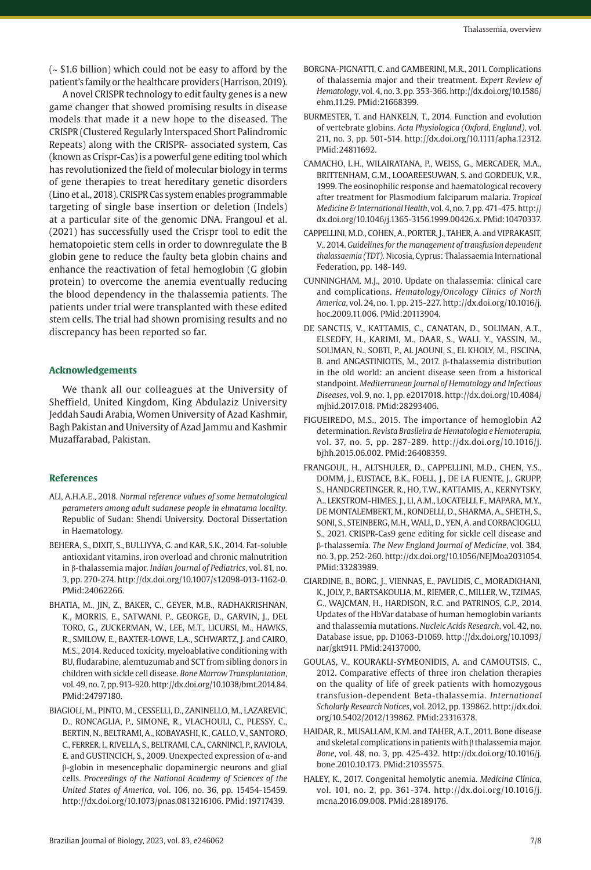$\sim$  \$1.6 billion) which could not be easy to afford by the patient's family or the healthcare providers (Harrison, 2019).

A novel CRISPR technology to edit faulty genes is a new game changer that showed promising results in disease models that made it a new hope to the diseased. The CRISPR (Clustered Regularly Interspaced Short Palindromic Repeats) along with the CRISPR- associated system, Cas (known as Crispr-Cas) is a powerful gene editing tool which has revolutionized the field of molecular biology in terms of gene therapies to treat hereditary genetic disorders (Lino et al., 2018). CRISPR Cas system enables programmable targeting of single base insertion or deletion (Indels) at a particular site of the genomic DNA. Frangoul et al. (2021) has successfully used the Crispr tool to edit the hematopoietic stem cells in order to downregulate the B globin gene to reduce the faulty beta globin chains and enhance the reactivation of fetal hemoglobin (G globin protein) to overcome the anemia eventually reducing the blood dependency in the thalassemia patients. The patients under trial were transplanted with these edited stem cells. The trial had shown promising results and no discrepancy has been reported so far.

## **Acknowledgements**

We thank all our colleagues at the University of Sheffield, United Kingdom, King Abdulaziz University Jeddah Saudi Arabia, Women University of Azad Kashmir, Bagh Pakistan and University of Azad Jammu and Kashmir Muzaffarabad, Pakistan.

### **References**

- ALI, A.H.A.E., 2018. *Normal reference values of some hematological parameters among adult sudanese people in elmatama locality.* Republic of Sudan: Shendi University. Doctoral Dissertation in Haematology.
- BEHERA, S., DIXIT, S., BULLIYYA, G. and KAR, S.K., 2014. Fat-soluble antioxidant vitamins, iron overload and chronic malnutrition in β-thalassemia major. *Indian Journal of Pediatrics*, vol. 81, no. 3, pp. 270-274. [http://dx.doi.org/10.1007/s12098-013-1162-0](https://doi.org/10.1007/s12098-013-1162-0). [PMid:24062266.](https://www.ncbi.nlm.nih.gov/entrez/query.fcgi?cmd=Retrieve&db=PubMed&list_uids=24062266&dopt=Abstract)
- BHATIA, M., JIN, Z., BAKER, C., GEYER, M.B., RADHAKRISHNAN, K., MORRIS, E., SATWANI, P., GEORGE, D., GARVIN, J., DEL TORO, G., ZUCKERMAN, W., LEE, M.T., LICURSI, M., HAWKS, R., SMILOW, E., BAXTER-LOWE, L.A., SCHWARTZ, J. and CAIRO, M.S., 2014. Reduced toxicity, myeloablative conditioning with BU, fludarabine, alemtuzumab and SCT from sibling donors in children with sickle cell disease. *Bone Marrow Transplantation*, vol. 49, no. 7, pp. 913-920. [http://dx.doi.org/10.1038/bmt.2014.84](https://doi.org/10.1038/bmt.2014.84). [PMid:24797180.](https://www.ncbi.nlm.nih.gov/entrez/query.fcgi?cmd=Retrieve&db=PubMed&list_uids=24797180&dopt=Abstract)
- BIAGIOLI, M., PINTO, M., CESSELLI, D., ZANINELLO, M., LAZAREVIC, D., RONCAGLIA, P., SIMONE, R., VLACHOULI, C., PLESSY, C., BERTIN, N., BELTRAMI, A., KOBAYASHI, K., GALLO, V., SANTORO, C., FERRER, I., RIVELLA, S., BELTRAMI, C.A., CARNINCI, P., RAVIOLA, E. and GUSTINCICH, S., 2009. Unexpected expression of  $\alpha$ -and β-globin in mesencephalic dopaminergic neurons and glial cells. *Proceedings of the National Academy of Sciences of the United States of America*, vol. 106, no. 36, pp. 15454-15459. [http://dx.doi.org/10.1073/pnas.0813216106](https://doi.org/10.1073/pnas.0813216106). [PMid:19717439.](https://www.ncbi.nlm.nih.gov/entrez/query.fcgi?cmd=Retrieve&db=PubMed&list_uids=19717439&dopt=Abstract)
- BORGNA-PIGNATTI, C. and GAMBERINI, M.R., 2011. Complications of thalassemia major and their treatment. *Expert Review of Hematology*, vol. 4, no. 3, pp. 353-366. [http://dx.doi.org/10.1586/](https://doi.org/10.1586/ehm.11.29) [ehm.11.29.](https://doi.org/10.1586/ehm.11.29) [PMid:21668399.](https://www.ncbi.nlm.nih.gov/entrez/query.fcgi?cmd=Retrieve&db=PubMed&list_uids=21668399&dopt=Abstract)
- BURMESTER, T. and HANKELN, T., 2014. Function and evolution of vertebrate globins. *Acta Physiologica (Oxford, England)*, vol. 211, no. 3, pp. 501-514. [http://dx.doi.org/10.1111/apha.12312](https://doi.org/10.1111/apha.12312). [PMid:24811692.](https://www.ncbi.nlm.nih.gov/entrez/query.fcgi?cmd=Retrieve&db=PubMed&list_uids=24811692&dopt=Abstract)
- CAMACHO, L.H., WILAIRATANA, P., WEISS, G., MERCADER, M.A., BRITTENHAM, G.M., LOOAREESUWAN, S. and GORDEUK, V.R., 1999. The eosinophilic response and haematological recovery after treatment for Plasmodium falciparum malaria. *Tropical Medicine & International Health*, vol. 4, no. 7, pp. 471-475. [http://](https://doi.org/10.1046/j.1365-3156.1999.00426.x) [dx.doi.org/10.1046/j.1365-3156.1999.00426.x](https://doi.org/10.1046/j.1365-3156.1999.00426.x). [PMid:10470337.](https://www.ncbi.nlm.nih.gov/entrez/query.fcgi?cmd=Retrieve&db=PubMed&list_uids=10470337&dopt=Abstract)
- CAPPELLINI, M.D., COHEN, A., PORTER, J., TAHER, A. and VIPRAKASIT, V., 2014. *Guidelines for the management of transfusion dependent thalassaemia (TDT).* Nicosia, Cyprus: Thalassaemia International Federation, pp. 148-149.
- CUNNINGHAM, M.J., 2010. Update on thalassemia: clinical care and complications. *Hematology/Oncology Clinics of North America*, vol. 24, no. 1, pp. 215-227. [http://dx.doi.org/10.1016/j.](https://doi.org/10.1016/j.hoc.2009.11.006) [hoc.2009.11.006](https://doi.org/10.1016/j.hoc.2009.11.006). [PMid:20113904.](https://www.ncbi.nlm.nih.gov/entrez/query.fcgi?cmd=Retrieve&db=PubMed&list_uids=20113904&dopt=Abstract)
- DE SANCTIS, V., KATTAMIS, C., CANATAN, D., SOLIMAN, A.T., ELSEDFY, H., KARIMI, M., DAAR, S., WALI, Y., YASSIN, M., SOLIMAN, N., SOBTI, P., AL JAOUNI, S., EL KHOLY, M., FISCINA, B. and ANGASTINIOTIS, M., 2017. β-thalassemia distribution in the old world: an ancient disease seen from a historical standpoint. *Mediterranean Journal of Hematology and Infectious Diseases*, vol. 9, no. 1, pp. e2017018. [http://dx.doi.org/10.4084/](https://doi.org/10.4084/mjhid.2017.018) [mjhid.2017.018.](https://doi.org/10.4084/mjhid.2017.018) [PMid:28293406.](https://www.ncbi.nlm.nih.gov/entrez/query.fcgi?cmd=Retrieve&db=PubMed&list_uids=28293406&dopt=Abstract)
- FIGUEIREDO, M.S., 2015. The importance of hemoglobin A2 determination. *Revista Brasileira de Hematologia e Hemoterapia*, vol. 37, no. 5, pp. 287-289. [http://dx.doi.org/10.1016/j.](https://doi.org/10.1016/j.bjhh.2015.06.002) [bjhh.2015.06.002](https://doi.org/10.1016/j.bjhh.2015.06.002). [PMid:26408359.](https://www.ncbi.nlm.nih.gov/entrez/query.fcgi?cmd=Retrieve&db=PubMed&list_uids=26408359&dopt=Abstract)
- FRANGOUL, H., ALTSHULER, D., CAPPELLINI, M.D., CHEN, Y.S., DOMM, J., EUSTACE, B.K., FOELL, J., DE LA FUENTE, J., GRUPP, S., HANDGRETINGER, R., HO, T.W., KATTAMIS, A., KERNYTSKY, A., LEKSTROM-HIMES, J., LI, A.M., LOCATELLI, F., MAPARA, M.Y., DE MONTALEMBERT, M., RONDELLI, D., SHARMA, A., SHETH, S., SONI, S., STEINBERG, M.H., WALL, D., YEN, A. and CORBACIOGLU, S., 2021. CRISPR-Cas9 gene editing for sickle cell disease and β-thalassemia. *The New England Journal of Medicine*, vol. 384, no. 3, pp. 252-260. [http://dx.doi.org/10.1056/NEJMoa2031054](https://doi.org/10.1056/NEJMoa2031054). [PMid:33283989.](https://www.ncbi.nlm.nih.gov/entrez/query.fcgi?cmd=Retrieve&db=PubMed&list_uids=33283989&dopt=Abstract)
- GIARDINE, B., BORG, J., VIENNAS, E., PAVLIDIS, C., MORADKHANI, K., JOLY, P., BARTSAKOULIA, M., RIEMER, C., MILLER, W., TZIMAS, G., WAJCMAN, H., HARDISON, R.C. and PATRINOS, G.P., 2014. Updates of the HbVar database of human hemoglobin variants and thalassemia mutations. *Nucleic Acids Research*, vol. 42, no. Database issue, pp. D1063-D1069. [http://dx.doi.org/10.1093/](https://doi.org/10.1093/nar/gkt911) [nar/gkt911.](https://doi.org/10.1093/nar/gkt911) [PMid:24137000.](https://www.ncbi.nlm.nih.gov/entrez/query.fcgi?cmd=Retrieve&db=PubMed&list_uids=24137000&dopt=Abstract)
- GOULAS, V., KOURAKLI-SYMEONIDIS, A. and CAMOUTSIS, C., 2012. Comparative effects of three iron chelation therapies on the quality of life of greek patients with homozygous transfusion-dependent Beta-thalassemia. *International Scholarly Research Notices*, vol. 2012, pp. 139862. http://dx.doi. org/10.5402/2012/139862[. PMid:23316378.](https://www.ncbi.nlm.nih.gov/entrez/query.fcgi?cmd=Retrieve&db=PubMed&list_uids=23316378&dopt=Abstract)
- HAIDAR, R., MUSALLAM, K.M. and TAHER, A.T., 2011. Bone disease and skeletal complications in patients with β thalassemia major. *Bone*, vol. 48, no. 3, pp. 425-432. [http://dx.doi.org/10.1016/j.](https://doi.org/10.1016/j.bone.2010.10.173) [bone.2010.10.173](https://doi.org/10.1016/j.bone.2010.10.173)[. PMid:21035575.](https://www.ncbi.nlm.nih.gov/entrez/query.fcgi?cmd=Retrieve&db=PubMed&list_uids=21035575&dopt=Abstract)
- HALEY, K., 2017. Congenital hemolytic anemia. *Medicina Clínica*, vol. 101, no. 2, pp. 361-374. http://dx.doi.org/10.1016/j. mcna.2016.09.008. [PMid:28189176.](https://www.ncbi.nlm.nih.gov/entrez/query.fcgi?cmd=Retrieve&db=PubMed&list_uids=28189176&dopt=Abstract)